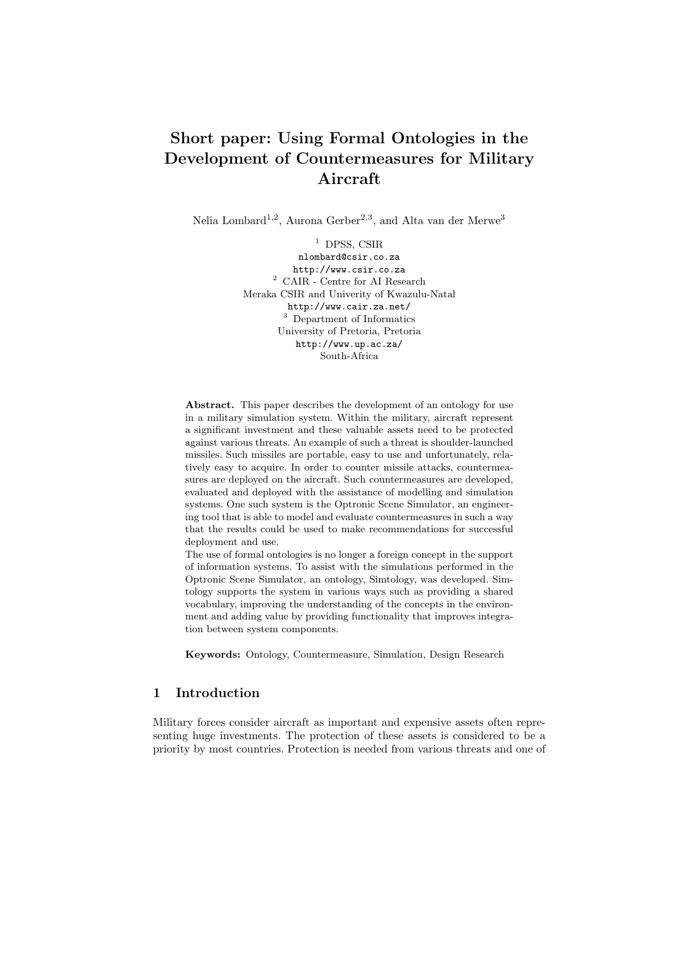# Short paper: Using Formal Ontologies in the Development of Countermeasures for Military Aircraft

Nelia Lombard<sup>1,2</sup>, Aurona Gerber<sup>2,3</sup>, and Alta van der Merwe<sup>3</sup>

 $<sup>1</sup>$  DPSS, CSIR</sup>

nlombard@csir.co.za http://www.csir.co.za  $^2\,$  CAIR - Centre for AI Research Meraka CSIR and Univerity of Kwazulu-Natal http://www.cair.za.net/ <sup>3</sup> Department of Informatics University of Pretoria, Pretoria http://www.up.ac.za/ South-Africa

Abstract. This paper describes the development of an ontology for use in a military simulation system. Within the military, aircraft represent a significant investment and these valuable assets need to be protected against various threats. An example of such a threat is shoulder-launched missiles. Such missiles are portable, easy to use and unfortunately, relatively easy to acquire. In order to counter missile attacks, countermeasures are deployed on the aircraft. Such countermeasures are developed, evaluated and deployed with the assistance of modelling and simulation systems. One such system is the Optronic Scene Simulator, an engineering tool that is able to model and evaluate countermeasures in such a way that the results could be used to make recommendations for successful deployment and use.

The use of formal ontologies is no longer a foreign concept in the support of information systems. To assist with the simulations performed in the Optronic Scene Simulator, an ontology, Simtology, was developed. Simtology supports the system in various ways such as providing a shared vocabulary, improving the understanding of the concepts in the environment and adding value by providing functionality that improves integration between system components.

Keywords: Ontology, Countermeasure, Simulation, Design Research

# 1 Introduction

Military forces consider aircraft as important and expensive assets often representing huge investments. The protection of these assets is considered to be a priority by most countries. Protection is needed from various threats and one of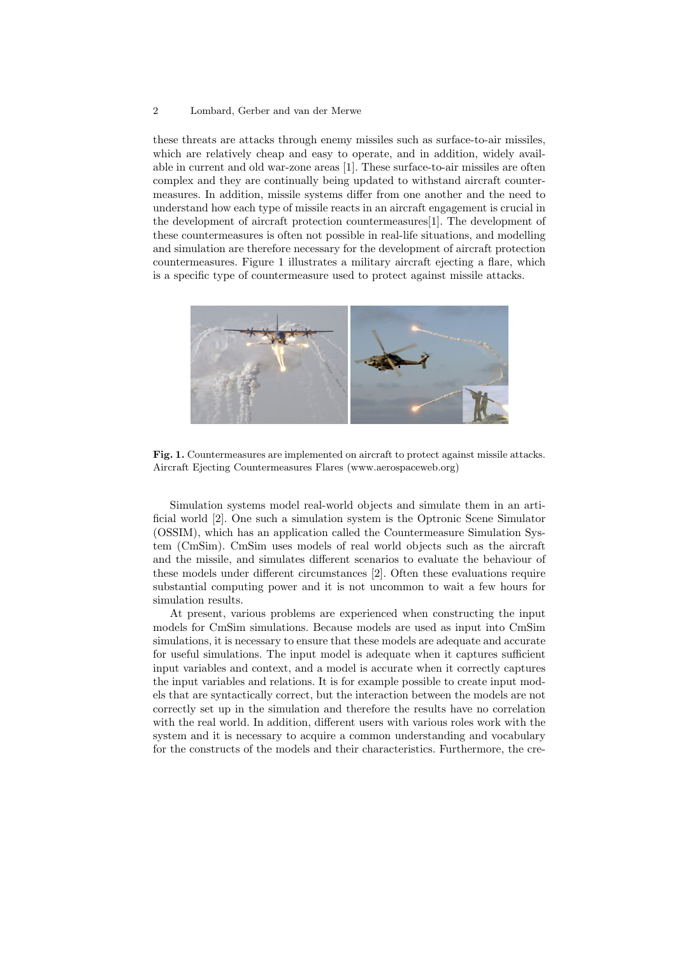#### 2 Lombard, Gerber and van der Merwe

these threats are attacks through enemy missiles such as surface-to-air missiles, which are relatively cheap and easy to operate, and in addition, widely available in current and old war-zone areas [1]. These surface-to-air missiles are often complex and they are continually being updated to withstand aircraft countermeasures. In addition, missile systems differ from one another and the need to understand how each type of missile reacts in an aircraft engagement is crucial in the development of aircraft protection countermeasures[1]. The development of these countermeasures is often not possible in real-life situations, and modelling and simulation are therefore necessary for the development of aircraft protection countermeasures. Figure 1 illustrates a military aircraft ejecting a flare, which is a specific type of countermeasure used to protect against missile attacks.



Fig. 1. Countermeasures are implemented on aircraft to protect against missile attacks. Aircraft Ejecting Countermeasures Flares (www.aerospaceweb.org)

Simulation systems model real-world objects and simulate them in an artificial world [2]. One such a simulation system is the Optronic Scene Simulator (OSSIM), which has an application called the Countermeasure Simulation System (CmSim). CmSim uses models of real world objects such as the aircraft and the missile, and simulates different scenarios to evaluate the behaviour of these models under different circumstances [2]. Often these evaluations require substantial computing power and it is not uncommon to wait a few hours for simulation results.

At present, various problems are experienced when constructing the input models for CmSim simulations. Because models are used as input into CmSim simulations, it is necessary to ensure that these models are adequate and accurate for useful simulations. The input model is adequate when it captures sufficient input variables and context, and a model is accurate when it correctly captures the input variables and relations. It is for example possible to create input models that are syntactically correct, but the interaction between the models are not correctly set up in the simulation and therefore the results have no correlation with the real world. In addition, different users with various roles work with the system and it is necessary to acquire a common understanding and vocabulary for the constructs of the models and their characteristics. Furthermore, the cre-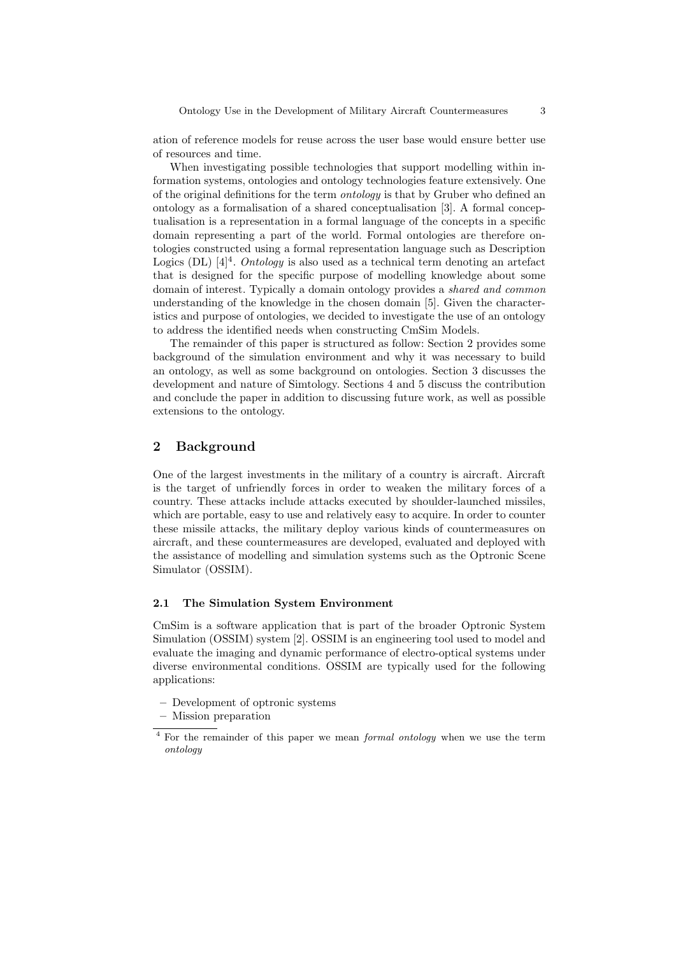ation of reference models for reuse across the user base would ensure better use of resources and time.

When investigating possible technologies that support modelling within information systems, ontologies and ontology technologies feature extensively. One of the original definitions for the term ontology is that by Gruber who defined an ontology as a formalisation of a shared conceptualisation [3]. A formal conceptualisation is a representation in a formal language of the concepts in a specific domain representing a part of the world. Formal ontologies are therefore ontologies constructed using a formal representation language such as Description Logics (DL)  $[4]^4$ . *Ontology* is also used as a technical term denoting an artefact that is designed for the specific purpose of modelling knowledge about some domain of interest. Typically a domain ontology provides a shared and common understanding of the knowledge in the chosen domain [5]. Given the characteristics and purpose of ontologies, we decided to investigate the use of an ontology to address the identified needs when constructing CmSim Models.

The remainder of this paper is structured as follow: Section 2 provides some background of the simulation environment and why it was necessary to build an ontology, as well as some background on ontologies. Section 3 discusses the development and nature of Simtology. Sections 4 and 5 discuss the contribution and conclude the paper in addition to discussing future work, as well as possible extensions to the ontology.

# 2 Background

One of the largest investments in the military of a country is aircraft. Aircraft is the target of unfriendly forces in order to weaken the military forces of a country. These attacks include attacks executed by shoulder-launched missiles, which are portable, easy to use and relatively easy to acquire. In order to counter these missile attacks, the military deploy various kinds of countermeasures on aircraft, and these countermeasures are developed, evaluated and deployed with the assistance of modelling and simulation systems such as the Optronic Scene Simulator (OSSIM).

#### 2.1 The Simulation System Environment

CmSim is a software application that is part of the broader Optronic System Simulation (OSSIM) system [2]. OSSIM is an engineering tool used to model and evaluate the imaging and dynamic performance of electro-optical systems under diverse environmental conditions. OSSIM are typically used for the following applications:

- Development of optronic systems
- Mission preparation

<sup>&</sup>lt;sup>4</sup> For the remainder of this paper we mean *formal ontology* when we use the term ontology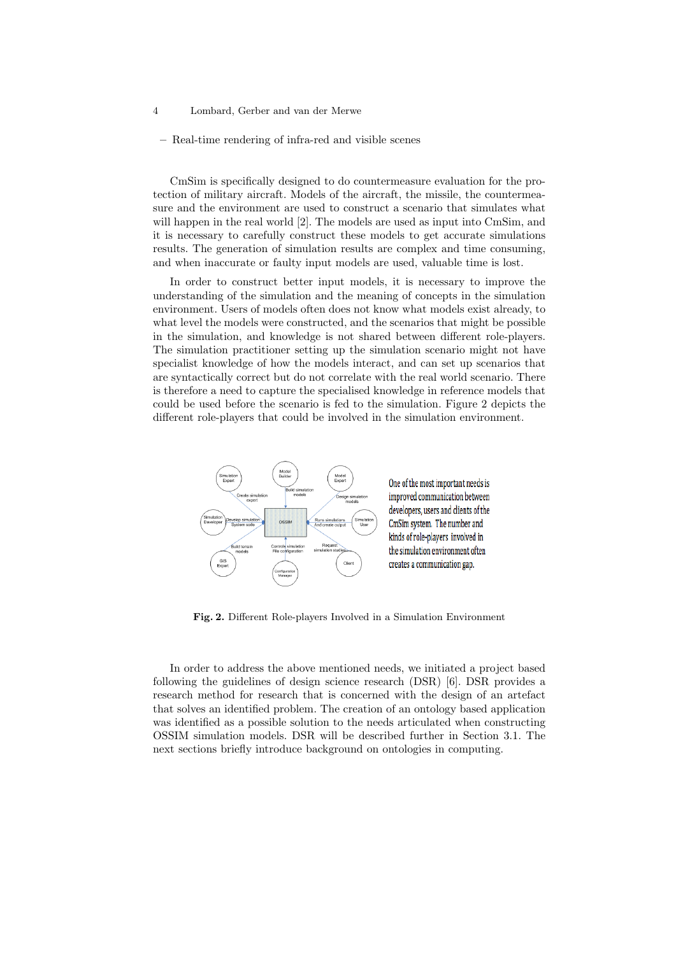- 4 Lombard, Gerber and van der Merwe
	- Real-time rendering of infra-red and visible scenes

CmSim is specifically designed to do countermeasure evaluation for the protection of military aircraft. Models of the aircraft, the missile, the countermeasure and the environment are used to construct a scenario that simulates what will happen in the real world [2]. The models are used as input into CmSim, and it is necessary to carefully construct these models to get accurate simulations results. The generation of simulation results are complex and time consuming, and when inaccurate or faulty input models are used, valuable time is lost.

In order to construct better input models, it is necessary to improve the understanding of the simulation and the meaning of concepts in the simulation environment. Users of models often does not know what models exist already, to what level the models were constructed, and the scenarios that might be possible in the simulation, and knowledge is not shared between different role-players. The simulation practitioner setting up the simulation scenario might not have specialist knowledge of how the models interact, and can set up scenarios that are syntactically correct but do not correlate with the real world scenario. There is therefore a need to capture the specialised knowledge in reference models that could be used before the scenario is fed to the simulation. Figure 2 depicts the different role-players that could be involved in the simulation environment.



Fig. 2. Different Role-players Involved in a Simulation Environment

In order to address the above mentioned needs, we initiated a project based following the guidelines of design science research (DSR) [6]. DSR provides a research method for research that is concerned with the design of an artefact that solves an identified problem. The creation of an ontology based application was identified as a possible solution to the needs articulated when constructing OSSIM simulation models. DSR will be described further in Section 3.1. The next sections briefly introduce background on ontologies in computing.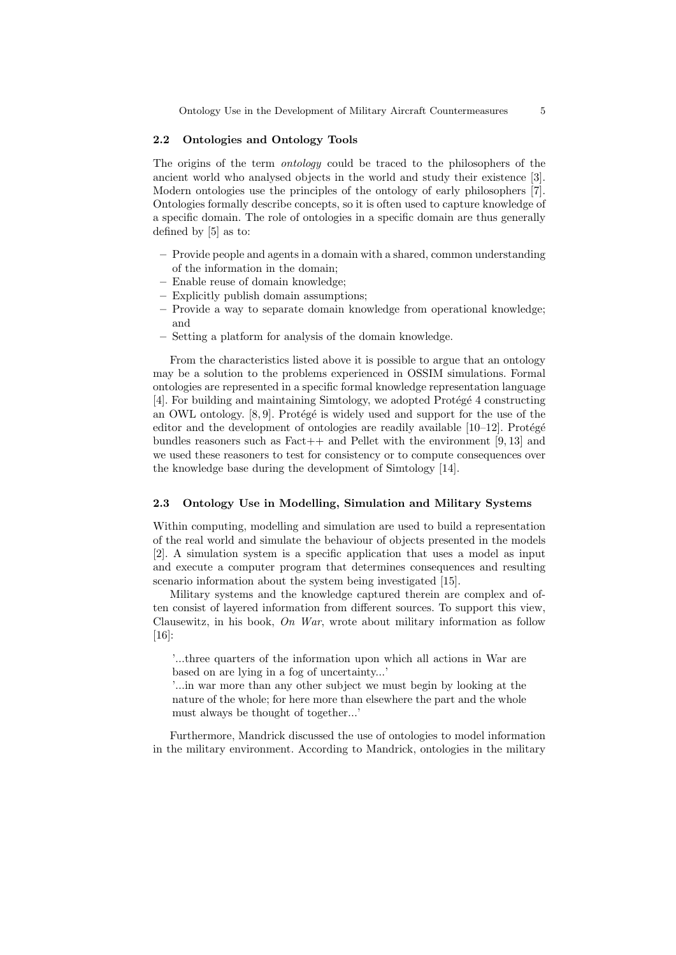### 2.2 Ontologies and Ontology Tools

The origins of the term ontology could be traced to the philosophers of the ancient world who analysed objects in the world and study their existence [3]. Modern ontologies use the principles of the ontology of early philosophers [7]. Ontologies formally describe concepts, so it is often used to capture knowledge of a specific domain. The role of ontologies in a specific domain are thus generally defined by [5] as to:

- Provide people and agents in a domain with a shared, common understanding of the information in the domain;
- Enable reuse of domain knowledge;
- Explicitly publish domain assumptions;
- Provide a way to separate domain knowledge from operational knowledge; and
- Setting a platform for analysis of the domain knowledge.

From the characteristics listed above it is possible to argue that an ontology may be a solution to the problems experienced in OSSIM simulations. Formal ontologies are represented in a specific formal knowledge representation language  $[4]$ . For building and maintaining Simtology, we adopted Protégé 4 constructing an OWL ontology.  $[8, 9]$ . Protégé is widely used and support for the use of the editor and the development of ontologies are readily available  $[10-12]$ . Protégé bundles reasoners such as  $Fact++$  and Pellet with the environment [9, 13] and we used these reasoners to test for consistency or to compute consequences over the knowledge base during the development of Simtology [14].

### 2.3 Ontology Use in Modelling, Simulation and Military Systems

Within computing, modelling and simulation are used to build a representation of the real world and simulate the behaviour of objects presented in the models [2]. A simulation system is a specific application that uses a model as input and execute a computer program that determines consequences and resulting scenario information about the system being investigated [15].

Military systems and the knowledge captured therein are complex and often consist of layered information from different sources. To support this view, Clausewitz, in his book, On War, wrote about military information as follow [16]:

'...three quarters of the information upon which all actions in War are based on are lying in a fog of uncertainty...'

'...in war more than any other subject we must begin by looking at the nature of the whole; for here more than elsewhere the part and the whole must always be thought of together...'

Furthermore, Mandrick discussed the use of ontologies to model information in the military environment. According to Mandrick, ontologies in the military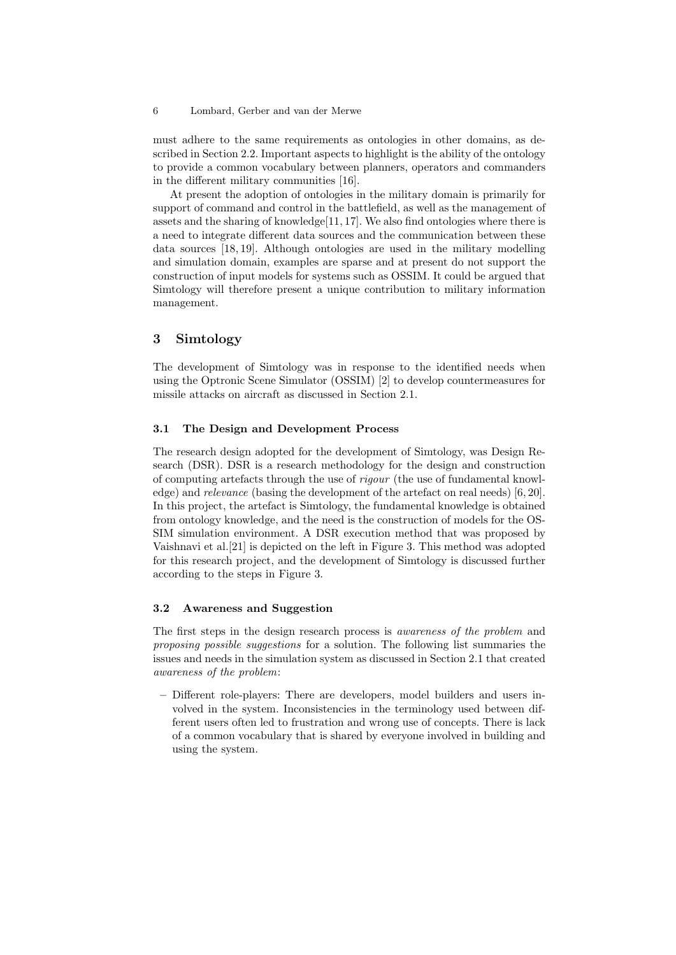#### 6 Lombard, Gerber and van der Merwe

must adhere to the same requirements as ontologies in other domains, as described in Section 2.2. Important aspects to highlight is the ability of the ontology to provide a common vocabulary between planners, operators and commanders in the different military communities [16].

At present the adoption of ontologies in the military domain is primarily for support of command and control in the battlefield, as well as the management of assets and the sharing of knowledge $[11, 17]$ . We also find ontologies where there is a need to integrate different data sources and the communication between these data sources [18, 19]. Although ontologies are used in the military modelling and simulation domain, examples are sparse and at present do not support the construction of input models for systems such as OSSIM. It could be argued that Simtology will therefore present a unique contribution to military information management.

### 3 Simtology

The development of Simtology was in response to the identified needs when using the Optronic Scene Simulator (OSSIM) [2] to develop countermeasures for missile attacks on aircraft as discussed in Section 2.1.

#### 3.1 The Design and Development Process

The research design adopted for the development of Simtology, was Design Research (DSR). DSR is a research methodology for the design and construction of computing artefacts through the use of rigour (the use of fundamental knowledge) and relevance (basing the development of the artefact on real needs) [6, 20]. In this project, the artefact is Simtology, the fundamental knowledge is obtained from ontology knowledge, and the need is the construction of models for the OS-SIM simulation environment. A DSR execution method that was proposed by Vaishnavi et al.[21] is depicted on the left in Figure 3. This method was adopted for this research project, and the development of Simtology is discussed further according to the steps in Figure 3.

#### 3.2 Awareness and Suggestion

The first steps in the design research process is awareness of the problem and proposing possible suggestions for a solution. The following list summaries the issues and needs in the simulation system as discussed in Section 2.1 that created awareness of the problem:

– Different role-players: There are developers, model builders and users involved in the system. Inconsistencies in the terminology used between different users often led to frustration and wrong use of concepts. There is lack of a common vocabulary that is shared by everyone involved in building and using the system.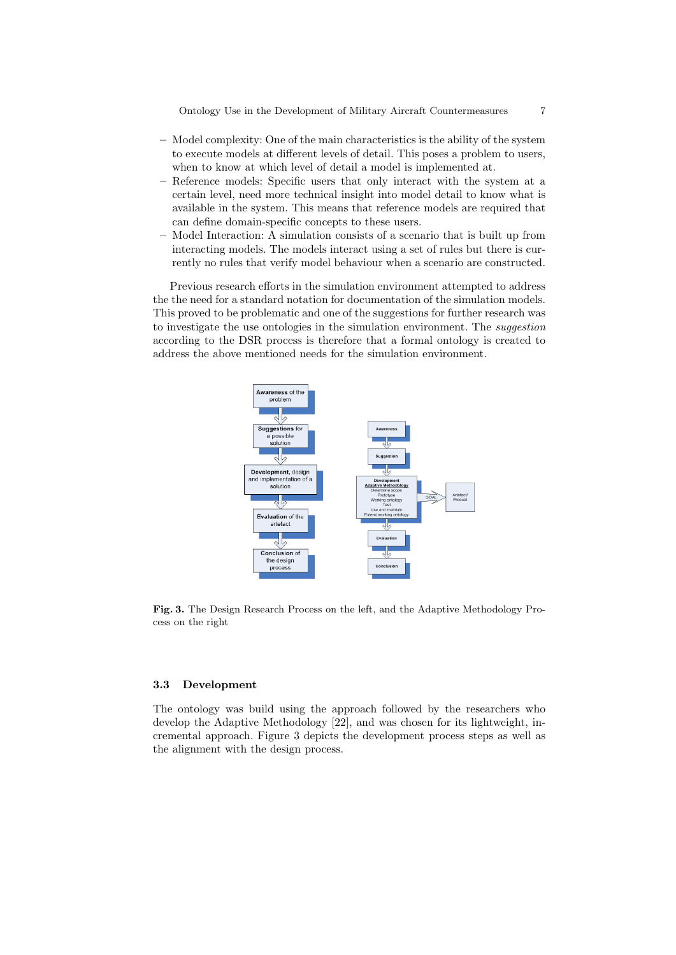- Model complexity: One of the main characteristics is the ability of the system to execute models at different levels of detail. This poses a problem to users, when to know at which level of detail a model is implemented at.
- Reference models: Specific users that only interact with the system at a certain level, need more technical insight into model detail to know what is available in the system. This means that reference models are required that can define domain-specific concepts to these users.
- Model Interaction: A simulation consists of a scenario that is built up from interacting models. The models interact using a set of rules but there is currently no rules that verify model behaviour when a scenario are constructed.

Previous research efforts in the simulation environment attempted to address the the need for a standard notation for documentation of the simulation models. This proved to be problematic and one of the suggestions for further research was to investigate the use ontologies in the simulation environment. The suggestion according to the DSR process is therefore that a formal ontology is created to address the above mentioned needs for the simulation environment.



Fig. 3. The Design Research Process on the left, and the Adaptive Methodology Process on the right

#### 3.3 Development

The ontology was build using the approach followed by the researchers who develop the Adaptive Methodology [22], and was chosen for its lightweight, incremental approach. Figure 3 depicts the development process steps as well as the alignment with the design process.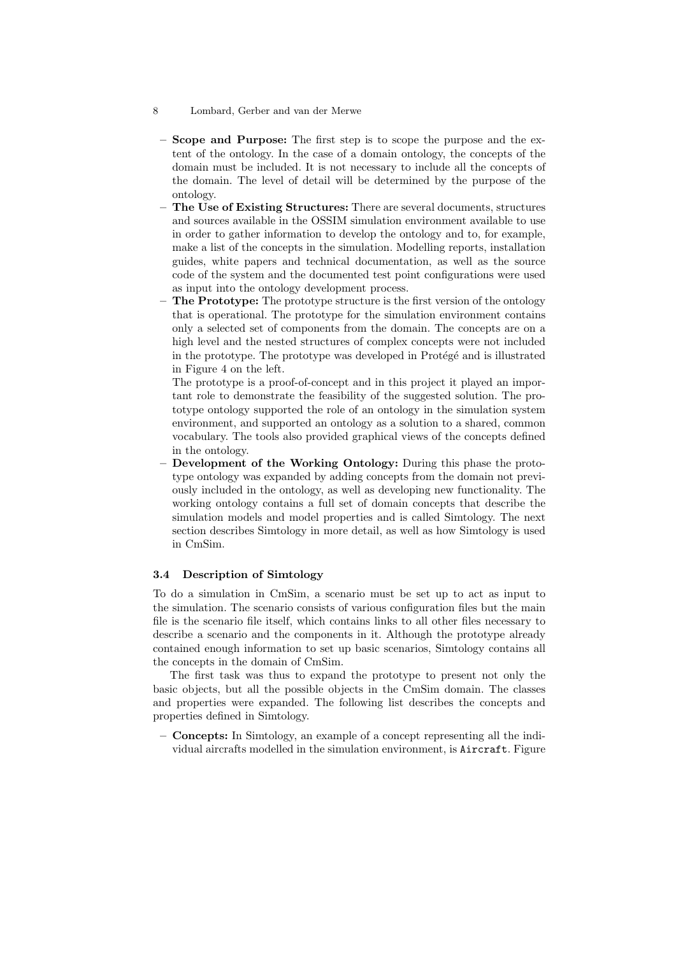- 8 Lombard, Gerber and van der Merwe
	- Scope and Purpose: The first step is to scope the purpose and the extent of the ontology. In the case of a domain ontology, the concepts of the domain must be included. It is not necessary to include all the concepts of the domain. The level of detail will be determined by the purpose of the ontology.
	- The Use of Existing Structures: There are several documents, structures and sources available in the OSSIM simulation environment available to use in order to gather information to develop the ontology and to, for example, make a list of the concepts in the simulation. Modelling reports, installation guides, white papers and technical documentation, as well as the source code of the system and the documented test point configurations were used as input into the ontology development process.
	- The Prototype: The prototype structure is the first version of the ontology that is operational. The prototype for the simulation environment contains only a selected set of components from the domain. The concepts are on a high level and the nested structures of complex concepts were not included in the prototype. The prototype was developed in Protégé and is illustrated in Figure 4 on the left.

The prototype is a proof-of-concept and in this project it played an important role to demonstrate the feasibility of the suggested solution. The prototype ontology supported the role of an ontology in the simulation system environment, and supported an ontology as a solution to a shared, common vocabulary. The tools also provided graphical views of the concepts defined in the ontology.

– Development of the Working Ontology: During this phase the prototype ontology was expanded by adding concepts from the domain not previously included in the ontology, as well as developing new functionality. The working ontology contains a full set of domain concepts that describe the simulation models and model properties and is called Simtology. The next section describes Simtology in more detail, as well as how Simtology is used in CmSim.

#### 3.4 Description of Simtology

To do a simulation in CmSim, a scenario must be set up to act as input to the simulation. The scenario consists of various configuration files but the main file is the scenario file itself, which contains links to all other files necessary to describe a scenario and the components in it. Although the prototype already contained enough information to set up basic scenarios, Simtology contains all the concepts in the domain of CmSim.

The first task was thus to expand the prototype to present not only the basic objects, but all the possible objects in the CmSim domain. The classes and properties were expanded. The following list describes the concepts and properties defined in Simtology.

– Concepts: In Simtology, an example of a concept representing all the individual aircrafts modelled in the simulation environment, is Aircraft. Figure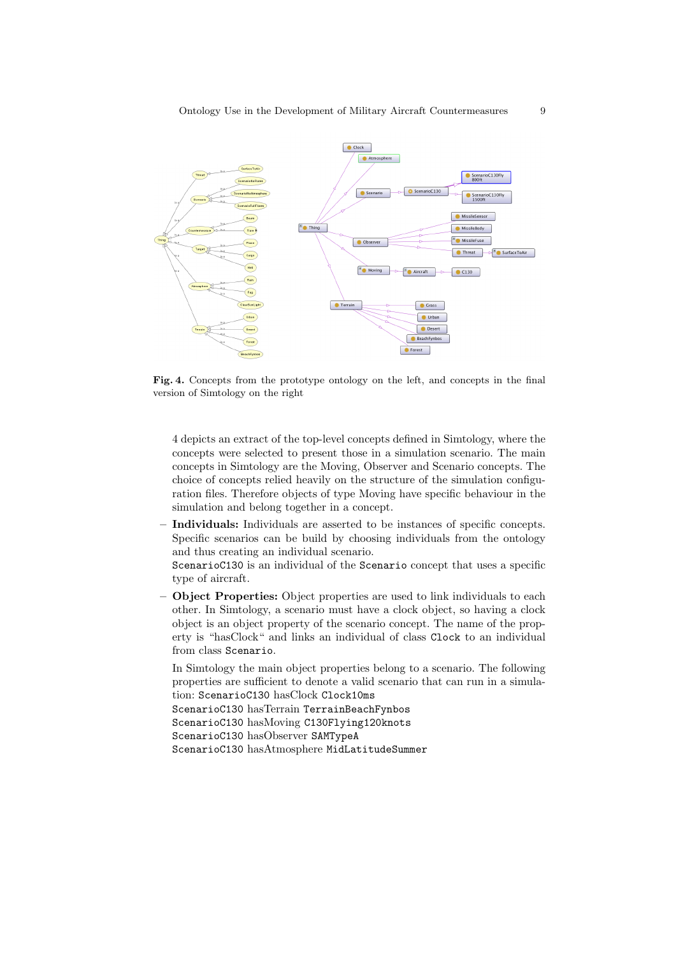

Fig. 4. Concepts from the prototype ontology on the left, and concepts in the final version of Simtology on the right

4 depicts an extract of the top-level concepts defined in Simtology, where the concepts were selected to present those in a simulation scenario. The main concepts in Simtology are the Moving, Observer and Scenario concepts. The choice of concepts relied heavily on the structure of the simulation configuration files. Therefore objects of type Moving have specific behaviour in the simulation and belong together in a concept.

– Individuals: Individuals are asserted to be instances of specific concepts. Specific scenarios can be build by choosing individuals from the ontology and thus creating an individual scenario.

ScenarioC130 is an individual of the Scenario concept that uses a specific type of aircraft.

– Object Properties: Object properties are used to link individuals to each other. In Simtology, a scenario must have a clock object, so having a clock object is an object property of the scenario concept. The name of the property is "hasClock" and links an individual of class Clock to an individual from class Scenario.

In Simtology the main object properties belong to a scenario. The following properties are sufficient to denote a valid scenario that can run in a simulation: ScenarioC130 hasClock Clock10ms ScenarioC130 hasTerrain TerrainBeachFynbos ScenarioC130 hasMoving C130Flying120knots ScenarioC130 hasObserver SAMTypeA ScenarioC130 hasAtmosphere MidLatitudeSummer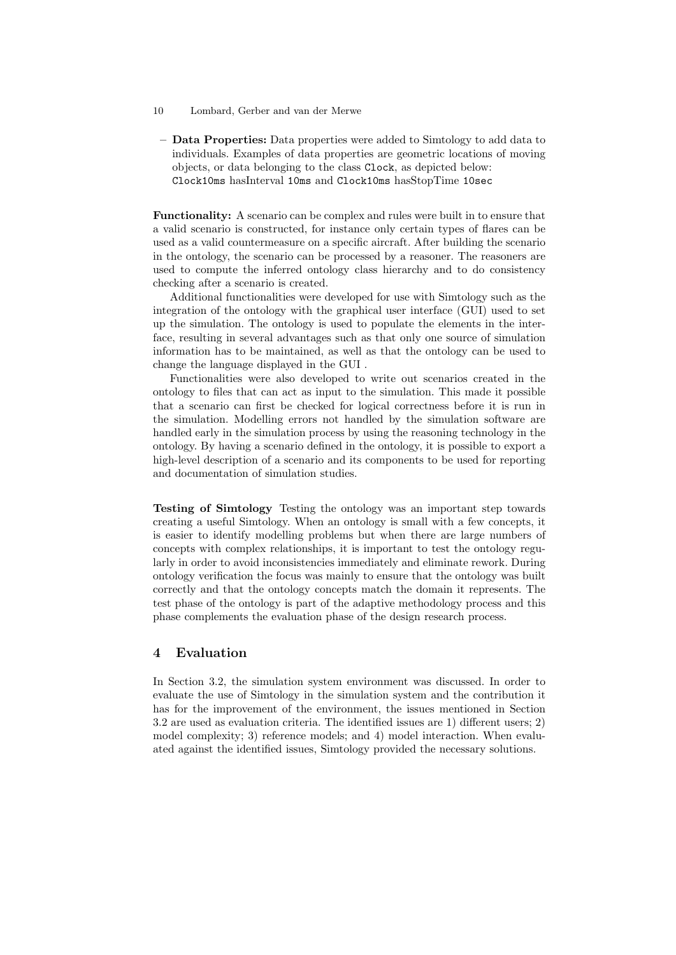- 10 Lombard, Gerber and van der Merwe
	- Data Properties: Data properties were added to Simtology to add data to individuals. Examples of data properties are geometric locations of moving objects, or data belonging to the class Clock, as depicted below: Clock10ms hasInterval 10ms and Clock10ms hasStopTime 10sec

Functionality: A scenario can be complex and rules were built in to ensure that a valid scenario is constructed, for instance only certain types of flares can be used as a valid countermeasure on a specific aircraft. After building the scenario in the ontology, the scenario can be processed by a reasoner. The reasoners are used to compute the inferred ontology class hierarchy and to do consistency checking after a scenario is created.

Additional functionalities were developed for use with Simtology such as the integration of the ontology with the graphical user interface (GUI) used to set up the simulation. The ontology is used to populate the elements in the interface, resulting in several advantages such as that only one source of simulation information has to be maintained, as well as that the ontology can be used to change the language displayed in the GUI .

Functionalities were also developed to write out scenarios created in the ontology to files that can act as input to the simulation. This made it possible that a scenario can first be checked for logical correctness before it is run in the simulation. Modelling errors not handled by the simulation software are handled early in the simulation process by using the reasoning technology in the ontology. By having a scenario defined in the ontology, it is possible to export a high-level description of a scenario and its components to be used for reporting and documentation of simulation studies.

Testing of Simtology Testing the ontology was an important step towards creating a useful Simtology. When an ontology is small with a few concepts, it is easier to identify modelling problems but when there are large numbers of concepts with complex relationships, it is important to test the ontology regularly in order to avoid inconsistencies immediately and eliminate rework. During ontology verification the focus was mainly to ensure that the ontology was built correctly and that the ontology concepts match the domain it represents. The test phase of the ontology is part of the adaptive methodology process and this phase complements the evaluation phase of the design research process.

# 4 Evaluation

In Section 3.2, the simulation system environment was discussed. In order to evaluate the use of Simtology in the simulation system and the contribution it has for the improvement of the environment, the issues mentioned in Section 3.2 are used as evaluation criteria. The identified issues are 1) different users; 2) model complexity; 3) reference models; and 4) model interaction. When evaluated against the identified issues, Simtology provided the necessary solutions.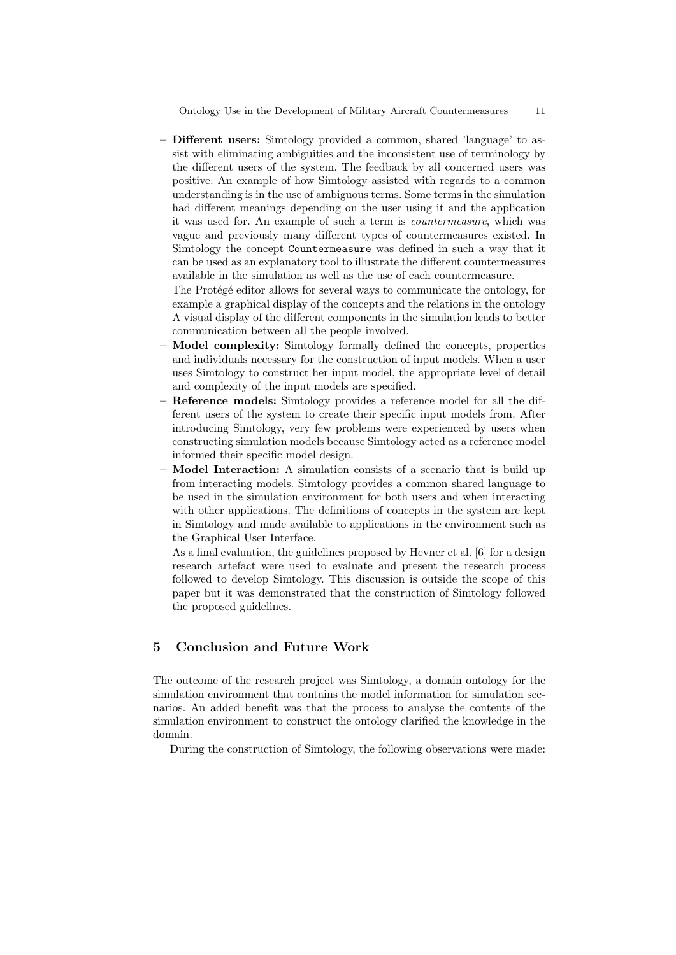– Different users: Simtology provided a common, shared 'language' to assist with eliminating ambiguities and the inconsistent use of terminology by the different users of the system. The feedback by all concerned users was positive. An example of how Simtology assisted with regards to a common understanding is in the use of ambiguous terms. Some terms in the simulation had different meanings depending on the user using it and the application it was used for. An example of such a term is countermeasure, which was vague and previously many different types of countermeasures existed. In Simtology the concept Countermeasure was defined in such a way that it can be used as an explanatory tool to illustrate the different countermeasures available in the simulation as well as the use of each countermeasure.

The Protégé editor allows for several ways to communicate the ontology, for example a graphical display of the concepts and the relations in the ontology A visual display of the different components in the simulation leads to better communication between all the people involved.

- Model complexity: Simtology formally defined the concepts, properties and individuals necessary for the construction of input models. When a user uses Simtology to construct her input model, the appropriate level of detail and complexity of the input models are specified.
- Reference models: Simtology provides a reference model for all the different users of the system to create their specific input models from. After introducing Simtology, very few problems were experienced by users when constructing simulation models because Simtology acted as a reference model informed their specific model design.
- Model Interaction: A simulation consists of a scenario that is build up from interacting models. Simtology provides a common shared language to be used in the simulation environment for both users and when interacting with other applications. The definitions of concepts in the system are kept in Simtology and made available to applications in the environment such as the Graphical User Interface.

As a final evaluation, the guidelines proposed by Hevner et al. [6] for a design research artefact were used to evaluate and present the research process followed to develop Simtology. This discussion is outside the scope of this paper but it was demonstrated that the construction of Simtology followed the proposed guidelines.

# 5 Conclusion and Future Work

The outcome of the research project was Simtology, a domain ontology for the simulation environment that contains the model information for simulation scenarios. An added benefit was that the process to analyse the contents of the simulation environment to construct the ontology clarified the knowledge in the domain.

During the construction of Simtology, the following observations were made: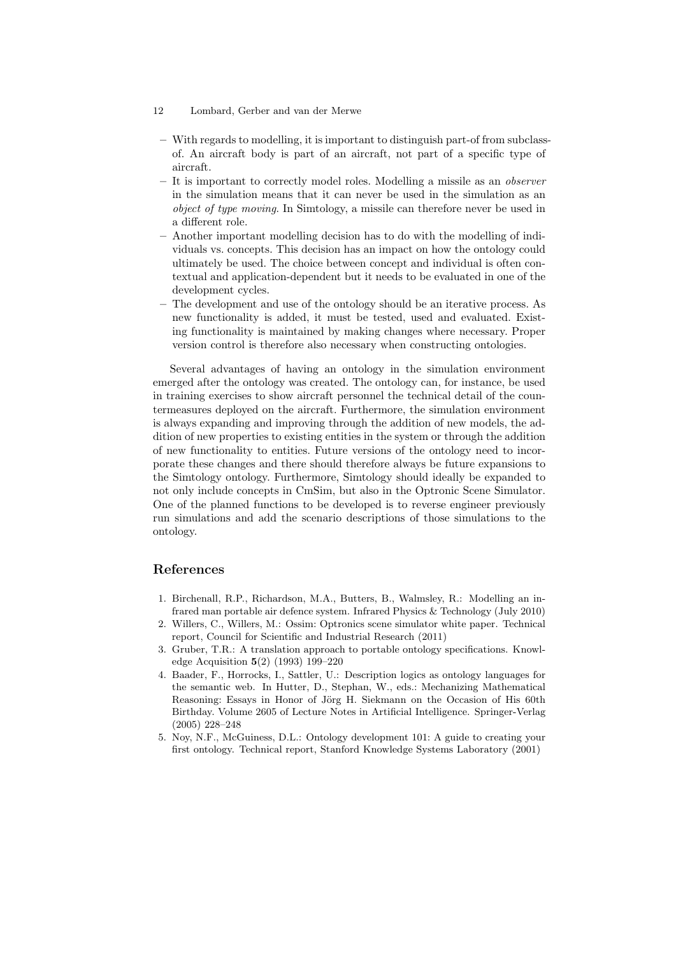#### 12 Lombard, Gerber and van der Merwe

- With regards to modelling, it is important to distinguish part-of from subclassof. An aircraft body is part of an aircraft, not part of a specific type of aircraft.
- It is important to correctly model roles. Modelling a missile as an observer in the simulation means that it can never be used in the simulation as an object of type moving. In Simtology, a missile can therefore never be used in a different role.
- Another important modelling decision has to do with the modelling of individuals vs. concepts. This decision has an impact on how the ontology could ultimately be used. The choice between concept and individual is often contextual and application-dependent but it needs to be evaluated in one of the development cycles.
- The development and use of the ontology should be an iterative process. As new functionality is added, it must be tested, used and evaluated. Existing functionality is maintained by making changes where necessary. Proper version control is therefore also necessary when constructing ontologies.

Several advantages of having an ontology in the simulation environment emerged after the ontology was created. The ontology can, for instance, be used in training exercises to show aircraft personnel the technical detail of the countermeasures deployed on the aircraft. Furthermore, the simulation environment is always expanding and improving through the addition of new models, the addition of new properties to existing entities in the system or through the addition of new functionality to entities. Future versions of the ontology need to incorporate these changes and there should therefore always be future expansions to the Simtology ontology. Furthermore, Simtology should ideally be expanded to not only include concepts in CmSim, but also in the Optronic Scene Simulator. One of the planned functions to be developed is to reverse engineer previously run simulations and add the scenario descriptions of those simulations to the ontology.

## References

- 1. Birchenall, R.P., Richardson, M.A., Butters, B., Walmsley, R.: Modelling an infrared man portable air defence system. Infrared Physics & Technology (July 2010)
- 2. Willers, C., Willers, M.: Ossim: Optronics scene simulator white paper. Technical report, Council for Scientific and Industrial Research (2011)
- 3. Gruber, T.R.: A translation approach to portable ontology specifications. Knowledge Acquisition 5(2) (1993) 199–220
- 4. Baader, F., Horrocks, I., Sattler, U.: Description logics as ontology languages for the semantic web. In Hutter, D., Stephan, W., eds.: Mechanizing Mathematical Reasoning: Essays in Honor of Jörg H. Siekmann on the Occasion of His 60th Birthday. Volume 2605 of Lecture Notes in Artificial Intelligence. Springer-Verlag (2005) 228–248
- 5. Noy, N.F., McGuiness, D.L.: Ontology development 101: A guide to creating your first ontology. Technical report, Stanford Knowledge Systems Laboratory (2001)